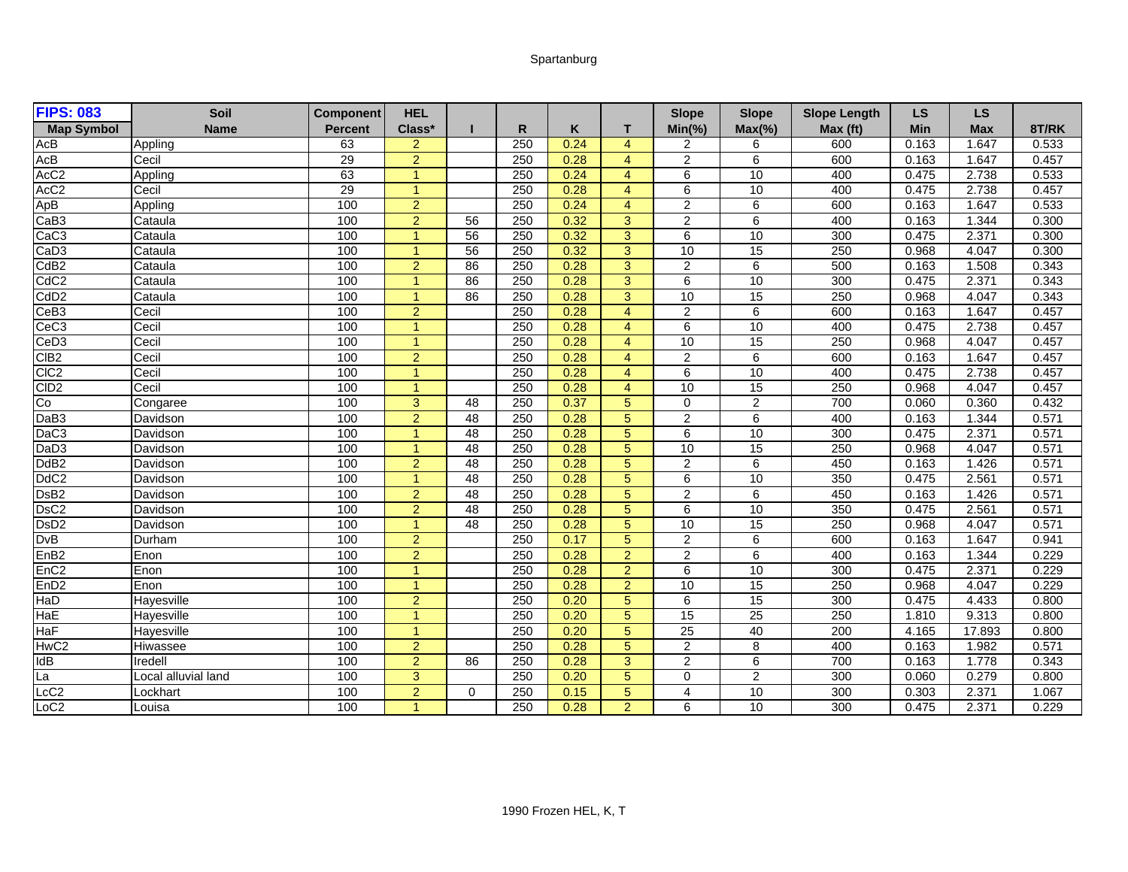## Spartanburg

| <b>FIPS: 083</b>              | <b>Soil</b>         | <b>Component</b> | <b>HEL</b>           |                 |     |      |                | <b>Slope</b>   | <b>Slope</b>    | <b>Slope Length</b> | <b>LS</b> | <b>LS</b>  |       |
|-------------------------------|---------------------|------------------|----------------------|-----------------|-----|------|----------------|----------------|-----------------|---------------------|-----------|------------|-------|
| <b>Map Symbol</b>             | <b>Name</b>         | <b>Percent</b>   | Class*               |                 | R   | K    | т              | $Min(\% )$     | $Max(\% )$      | Max (ft)            | Min       | <b>Max</b> | 8T/RK |
| AcB                           | Appling             | 63               | $\overline{2}$       |                 | 250 | 0.24 | $\overline{4}$ | 2              | 6               | 600                 | 0.163     | 1.647      | 0.533 |
| AcB                           | Cecil               | 29               | $\overline{2}$       |                 | 250 | 0.28 | $\overline{4}$ | $\overline{2}$ | $\overline{6}$  | 600                 | 0.163     | 1.647      | 0.457 |
| AcC <sub>2</sub>              | Appling             | 63               | $\blacktriangleleft$ |                 | 250 | 0.24 | $\overline{4}$ | 6              | 10              | 400                 | 0.475     | 2.738      | 0.533 |
| AcC <sub>2</sub>              | Cecil               | 29               | $\overline{1}$       |                 | 250 | 0.28 | 4              | 6              | 10              | 400                 | 0.475     | 2.738      | 0.457 |
| ApB                           | Appling             | 100              | $\overline{2}$       |                 | 250 | 0.24 | $\overline{4}$ | $\overline{c}$ | 6               | 600                 | 0.163     | 1.647      | 0.533 |
| CaB <sub>3</sub>              | Cataula             | 100              | $\overline{2}$       | 56              | 250 | 0.32 | 3              | $\overline{2}$ | 6               | 400                 | 0.163     | 1.344      | 0.300 |
| CaC <sub>3</sub>              | Cataula             | 100              | $\overline{1}$       | 56              | 250 | 0.32 | 3              | 6              | 10              | 300                 | 0.475     | 2.371      | 0.300 |
| CaD3                          | Cataula             | 100              |                      | 56              | 250 | 0.32 | $\overline{3}$ | 10             | 15              | 250                 | 0.968     | 4.047      | 0.300 |
| CdB2                          | Cataula             | 100              | $\overline{2}$       | 86              | 250 | 0.28 | 3              | $\overline{2}$ | 6               | 500                 | 0.163     | 1.508      | 0.343 |
| CdC <sub>2</sub>              | Cataula             | 100              | $\overline{1}$       | 86              | 250 | 0.28 | 3              | 6              | 10              | 300                 | 0.475     | 2.371      | 0.343 |
| CdD <sub>2</sub>              | Cataula             | 100              | $\blacktriangleleft$ | 86              | 250 | 0.28 | 3              | 10             | $\overline{15}$ | 250                 | 0.968     | 4.047      | 0.343 |
| CeB <sub>3</sub>              | Cecil               | 100              | $\overline{2}$       |                 | 250 | 0.28 | $\overline{4}$ | $\overline{2}$ | 6               | 600                 | 0.163     | 1.647      | 0.457 |
| CeC <sub>3</sub>              | Cecil               | 100              | $\overline{1}$       |                 | 250 | 0.28 | $\overline{4}$ | 6              | 10              | 400                 | 0.475     | 2.738      | 0.457 |
| CeD <sub>3</sub>              | Cecil               | 100              | $\overline{1}$       |                 | 250 | 0.28 | $\overline{4}$ | 10             | $\overline{15}$ | 250                 | 0.968     | 4.047      | 0.457 |
| CIB <sub>2</sub>              | Cecil               | 100              | $\overline{2}$       |                 | 250 | 0.28 | $\overline{4}$ | 2              | 6               | 600                 | 0.163     | 1.647      | 0.457 |
| CIC <sub>2</sub>              | Cecil               | 100              | $\overline{1}$       |                 | 250 | 0.28 | $\overline{4}$ | $\overline{6}$ | 10              | 400                 | 0.475     | 2.738      | 0.457 |
| CID <sub>2</sub>              | Cecil               | 100              | $\blacktriangleleft$ |                 | 250 | 0.28 | $\overline{4}$ | 10             | 15              | 250                 | 0.968     | 4.047      | 0.457 |
| Co                            | Congaree            | 100              | 3                    | 48              | 250 | 0.37 | 5              | $\mathbf 0$    | $\overline{2}$  | 700                 | 0.060     | 0.360      | 0.432 |
| DaB <sub>3</sub>              | Davidson            | 100              | $\overline{2}$       | 48              | 250 | 0.28 | 5              | $\overline{2}$ | 6               | 400                 | 0.163     | 1.344      | 0.571 |
| DaC <sub>3</sub>              | Davidson            | 100              | $\overline{1}$       | 48              | 250 | 0.28 | 5              | 6              | 10              | 300                 | 0.475     | 2.371      | 0.571 |
| DaD <sub>3</sub>              | Davidson            | 100              |                      | 48              | 250 | 0.28 | $\overline{5}$ | 10             | 15              | 250                 | 0.968     | 4.047      | 0.571 |
| DdB <sub>2</sub>              | Davidson            | 100              | 2                    | 48              | 250 | 0.28 | 5              | 2              | 6               | 450                 | 0.163     | 1.426      | 0.571 |
| D <sub>d</sub> C <sub>2</sub> | Davidson            | 100              | $\overline{1}$       | 48              | 250 | 0.28 | $\sqrt{5}$     | 6              | 10              | 350                 | 0.475     | 2.561      | 0.571 |
| DsB <sub>2</sub>              | Davidson            | 100              | $\overline{2}$       | 48              | 250 | 0.28 | $\overline{5}$ | $\overline{2}$ | $\overline{6}$  | 450                 | 0.163     | 1.426      | 0.571 |
| DsC <sub>2</sub>              | Davidson            | 100              | $\overline{2}$       | $\overline{48}$ | 250 | 0.28 | 5              | 6              | 10              | 350                 | 0.475     | 2.561      | 0.571 |
| DsD <sub>2</sub>              | Davidson            | 100              | $\overline{1}$       | 48              | 250 | 0.28 | $\sqrt{5}$     | 10             | 15              | 250                 | 0.968     | 4.047      | 0.571 |
| <b>DvB</b>                    | Durham              | 100              | $\overline{2}$       |                 | 250 | 0.17 | 5              | $\overline{2}$ | 6               | 600                 | 0.163     | 1.647      | 0.941 |
| EnB2                          | Enon                | 100              | $\overline{2}$       |                 | 250 | 0.28 | $\overline{2}$ | $\overline{2}$ | 6               | 400                 | 0.163     | 1.344      | 0.229 |
| EnC <sub>2</sub>              | Enon                | 100              | $\overline{1}$       |                 | 250 | 0.28 | $\overline{2}$ | $\overline{6}$ | 10              | 300                 | 0.475     | 2.371      | 0.229 |
| EnD <sub>2</sub>              | Enon                | 100              | $\overline{A}$       |                 | 250 | 0.28 | $\overline{2}$ | 10             | 15              | 250                 | 0.968     | 4.047      | 0.229 |
| HaD                           | Hayesville          | 100              | $\overline{2}$       |                 | 250 | 0.20 | 5              | $\overline{6}$ | 15              | 300                 | 0.475     | 4.433      | 0.800 |
| HaE                           | Hayesville          | 100              | $\overline{1}$       |                 | 250 | 0.20 | 5              | 15             | 25              | 250                 | 1.810     | 9.313      | 0.800 |
| <b>HaF</b>                    | Hayesville          | 100              | 1                    |                 | 250 | 0.20 | 5              | 25             | 40              | 200                 | 4.165     | 17.893     | 0.800 |
| HwC2                          | Hiwassee            | 100              | 2                    |                 | 250 | 0.28 | 5              | $\overline{2}$ | 8               | 400                 | 0.163     | 1.982      | 0.571 |
| <b>IdB</b>                    | Iredell             | 100              | $\overline{2}$       | 86              | 250 | 0.28 | $\overline{3}$ | $\overline{2}$ | 6               | 700                 | 0.163     | 1.778      | 0.343 |
| La                            | Local alluvial land | 100              | $\overline{3}$       |                 | 250 | 0.20 | 5              | $\mathbf 0$    | $\overline{2}$  | 300                 | 0.060     | 0.279      | 0.800 |
| LcC <sub>2</sub>              | Lockhart            | 100              | $\overline{2}$       | $\Omega$        | 250 | 0.15 | 5              | 4              | 10              | 300                 | 0.303     | 2.371      | 1.067 |
| LoC <sub>2</sub>              | Louisa              | 100              | $\overline{1}$       |                 | 250 | 0.28 | $\overline{2}$ | 6              | 10              | 300                 | 0.475     | 2.371      | 0.229 |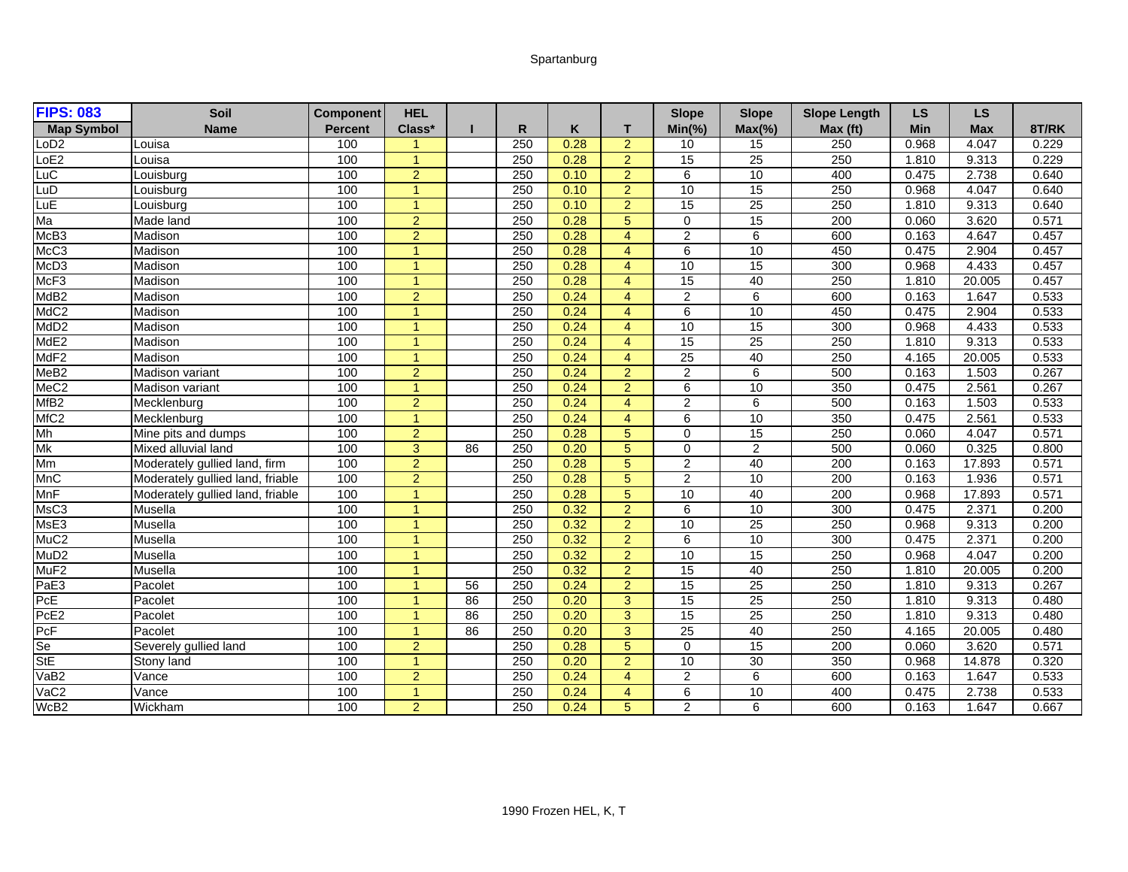## Spartanburg

| <b>FIPS: 083</b>  | <b>Soil</b>                      | <b>Component</b> | <b>HEL</b>     |    |     |      |                 | <b>Slope</b>    | <b>Slope</b>    | <b>Slope Length</b> | <b>LS</b>  | <b>LS</b>  |       |
|-------------------|----------------------------------|------------------|----------------|----|-----|------|-----------------|-----------------|-----------------|---------------------|------------|------------|-------|
| <b>Map Symbol</b> | <b>Name</b>                      | Percent          | Class*         |    | R   | K    | т               | $Min(\% )$      | $Max(\% )$      | Max (ft)            | <b>Min</b> | <b>Max</b> | 8T/RK |
| LoD <sub>2</sub>  | Louisa                           | 100              |                |    | 250 | 0.28 | $\overline{2}$  | 10              | 15              | 250                 | 0.968      | 4.047      | 0.229 |
| LoE <sub>2</sub>  | Louisa                           | 100              | $\overline{1}$ |    | 250 | 0.28 | 2               | 15              | 25              | 250                 | 1.810      | 9.313      | 0.229 |
| LuC               | Louisburg                        | 100              | $\overline{2}$ |    | 250 | 0.10 | $\overline{2}$  | $\overline{6}$  | 10              | 400                 | 0.475      | 2.738      | 0.640 |
| LuD               | Louisburg                        | 100              | $\overline{1}$ |    | 250 | 0.10 | $\overline{2}$  | 10              | $\overline{15}$ | 250                 | 0.968      | 4.047      | 0.640 |
| LuE               | Louisburg                        | 100              | $\overline{1}$ |    | 250 | 0.10 | $\overline{2}$  | 15              | $\overline{25}$ | 250                 | 1.810      | 9.313      | 0.640 |
| Ma                | Made land                        | 100              | $\overline{2}$ |    | 250 | 0.28 | 5               | $\mathbf 0$     | 15              | 200                 | 0.060      | 3.620      | 0.571 |
| McB3              | Madison                          | 100              | $\overline{2}$ |    | 250 | 0.28 | $\overline{4}$  | $\overline{2}$  | 6               | 600                 | 0.163      | 4.647      | 0.457 |
| McC <sub>3</sub>  | Madison                          | 100              | $\overline{1}$ |    | 250 | 0.28 | $\overline{4}$  | 6               | 10              | 450                 | 0.475      | 2.904      | 0.457 |
| McD <sub>3</sub>  | Madison                          | 100              | $\overline{1}$ |    | 250 | 0.28 | $\overline{4}$  | 10              | 15              | 300                 | 0.968      | 4.433      | 0.457 |
| McF3              | Madison                          | 100              | $\overline{A}$ |    | 250 | 0.28 | $\overline{4}$  | 15              | 40              | 250                 | 1.810      | 20.005     | 0.457 |
| MdB <sub>2</sub>  | Madison                          | 100              | $\overline{2}$ |    | 250 | 0.24 | $\overline{4}$  | $\overline{2}$  | 6               | 600                 | 0.163      | 1.647      | 0.533 |
| MdC <sub>2</sub>  | Madison                          | 100              | $\overline{1}$ |    | 250 | 0.24 | $\overline{4}$  | 6               | 10              | 450                 | 0.475      | 2.904      | 0.533 |
| MdD <sub>2</sub>  | Madison                          | 100              | -1             |    | 250 | 0.24 | $\overline{4}$  | 10              | 15              | 300                 | 0.968      | 4.433      | 0.533 |
| MdE <sub>2</sub>  | Madison                          | 100              | $\overline{1}$ |    | 250 | 0.24 | $\overline{4}$  | 15              | 25              | 250                 | 1.810      | 9.313      | 0.533 |
| MdF <sub>2</sub>  | Madison                          | 100              | $\overline{1}$ |    | 250 | 0.24 | $\overline{4}$  | $\overline{25}$ | 40              | 250                 | 4.165      | 20.005     | 0.533 |
| MeB <sub>2</sub>  | Madison variant                  | 100              | $\overline{2}$ |    | 250 | 0.24 | $\overline{2}$  | 2               | 6               | 500                 | 0.163      | 1.503      | 0.267 |
| MeC <sub>2</sub>  | Madison variant                  | 100              | $\overline{1}$ |    | 250 | 0.24 | 2               | 6               | 10              | 350                 | 0.475      | 2.561      | 0.267 |
| MfB <sub>2</sub>  | Mecklenburg                      | 100              | $\overline{2}$ |    | 250 | 0.24 | $\overline{4}$  | $\overline{c}$  | 6               | 500                 | 0.163      | 1.503      | 0.533 |
| MfC <sub>2</sub>  | Mecklenburg                      | 100              | $\overline{1}$ |    | 250 | 0.24 | $\overline{4}$  | 6               | 10              | 350                 | 0.475      | 2.561      | 0.533 |
| Mh                | Mine pits and dumps              | 100              | $\overline{2}$ |    | 250 | 0.28 | 5               | $\mathbf 0$     | 15              | 250                 | 0.060      | 4.047      | 0.571 |
| Mk                | Mixed alluvial land              | 100              | $\overline{3}$ | 86 | 250 | 0.20 | $5\overline{)}$ | $\mathbf 0$     | $\overline{2}$  | 500                 | 0.060      | 0.325      | 0.800 |
| Mm                | Moderately gullied land, firm    | 100              | $\overline{2}$ |    | 250 | 0.28 | $\sqrt{5}$      | $\overline{c}$  | 40              | $\overline{200}$    | 0.163      | 17.893     | 0.571 |
| <b>MnC</b>        | Moderately gullied land, friable | 100              | $\overline{2}$ |    | 250 | 0.28 | $\overline{5}$  | $\overline{2}$  | 10              | 200                 | 0.163      | 1.936      | 0.571 |
| <b>MnF</b>        | Moderately gullied land, friable | 100              | $\overline{1}$ |    | 250 | 0.28 | 5               | 10              | 40              | 200                 | 0.968      | 17.893     | 0.571 |
| MsC3              | Musella                          | 100              | $\overline{1}$ |    | 250 | 0.32 | $\overline{2}$  | 6               | 10              | 300                 | 0.475      | 2.371      | 0.200 |
| MsE3              | Musella                          | 100              | $\overline{1}$ |    | 250 | 0.32 | $\overline{2}$  | 10              | 25              | 250                 | 0.968      | 9.313      | 0.200 |
| MuC <sub>2</sub>  | Musella                          | 100              | $\overline{1}$ |    | 250 | 0.32 | $\overline{2}$  | 6               | 10              | 300                 | 0.475      | 2.371      | 0.200 |
| MuD <sub>2</sub>  | Musella                          | 100              | $\overline{1}$ |    | 250 | 0.32 | $\overline{2}$  | 10              | 15              | 250                 | 0.968      | 4.047      | 0.200 |
| MuF <sub>2</sub>  | Musella                          | 100              | $\overline{1}$ |    | 250 | 0.32 | $\overline{2}$  | 15              | 40              | 250                 | 1.810      | 20.005     | 0.200 |
| PaE3              | Pacolet                          | 100              | $\overline{ }$ | 56 | 250 | 0.24 | $\overline{2}$  | 15              | 25              | 250                 | 1.810      | 9.313      | 0.267 |
| PcE               | Pacolet                          | 100              | $\overline{1}$ | 86 | 250 | 0.20 | 3               | 15              | 25              | 250                 | 1.810      | 9.313      | 0.480 |
| PcE <sub>2</sub>  | Pacolet                          | 100              | $\overline{1}$ | 86 | 250 | 0.20 | 3               | 15              | 25              | 250                 | 1.810      | 9.313      | 0.480 |
| PcF               | Pacolet                          | 100              | $\overline{1}$ | 86 | 250 | 0.20 | 3               | 25              | 40              | 250                 | 4.165      | 20.005     | 0.480 |
| Se                | Severely gullied land            | 100              | 2              |    | 250 | 0.28 | 5               | $\Omega$        | 15              | 200                 | 0.060      | 3.620      | 0.571 |
| <b>StE</b>        | Stony land                       | 100              | $\overline{1}$ |    | 250 | 0.20 | $\overline{2}$  | 10              | 30              | 350                 | 0.968      | 14.878     | 0.320 |
| VaB2              | $\overline{\text{Vance}}$        | 100              | $\overline{2}$ |    | 250 | 0.24 | $\overline{4}$  | $\overline{2}$  | 6               | 600                 | 0.163      | 1.647      | 0.533 |
| VaC <sub>2</sub>  | Vance                            | 100              | $\overline{ }$ |    | 250 | 0.24 | $\overline{4}$  | 6               | 10              | 400                 | 0.475      | 2.738      | 0.533 |
| WcB2              | Wickham                          | 100              | $\overline{2}$ |    | 250 | 0.24 | 5               | $\overline{2}$  | 6               | 600                 | 0.163      | 1.647      | 0.667 |